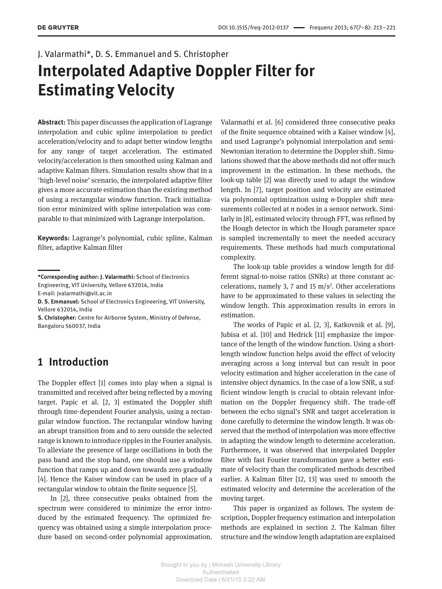# J. Valarmathi\*, D. S. Emmanuel and S. Christopher **Interpolated Adaptive Doppler Filter for Estimating Velocity**

**Abstract:** This paper discusses the application of Lagrange interpolation and cubic spline interpolation to predict acceleration/velocity and to adapt better window lengths for any range of target acceleration. The estimated velocity/acceleration is then smoothed using Kalman and adaptive Kalman filters. Simulation results show that in a 'high-level noise' scenario, the interpolated adaptive filter gives a more accurate estimation than the existing method of using a rectangular window function. Track initialization error minimized with spline interpolation was comparable to that minimized with Lagrange interpolation.

**Keywords:** Lagrange's polynomial, cubic spline, Kalman filter, adaptive Kalman filter

E-mail: jvalarmathi@vit.ac.in

**D. S. Emmanuel:** School of Electronics Engineering, VIT University, Vellore 632014, India

**S. Christopher:** Centre for Airborne System, Ministry of Defense, Bangaloru 560037, India

# **1 Introduction**

The Doppler effect [1] comes into play when a signal is transmitted and received after being reflected by a moving target. Papic et al. [2, 3] estimated the Doppler shift through time-dependent Fourier analysis, using a rectangular window function. The rectangular window having an abrupt transition from and to zero outside the selected range is known to introduce ripples in the Fourier analysis. To alleviate the presence of large oscillations in both the pass band and the stop band, one should use a window function that ramps up and down towards zero gradually [4]. Hence the Kaiser window can be used in place of a rectangular window to obtain the finite sequence [5].

In [2], three consecutive peaks obtained from the spectrum were considered to minimize the error introduced by the estimated frequency. The optimized frequency was obtained using a simple interpolation procedure based on second-order polynomial approximation.

Valarmathi et al. [6] considered three consecutive peaks of the finite sequence obtained with a Kaiser window [4], and used Lagrange's polynomial interpolation and semi-Newtonian iteration to determine the Doppler shift. Simulations showed that the above methods did not offer much improvement in the estimation. In these methods, the look-up table [2] was directly used to adapt the window length. In [7], target position and velocity are estimated via polynomial optimization using *n*-Doppler shift measurements collected at *n* nodes in a sensor network. Similarly in [8], estimated velocity through FFT, was refined by the Hough detector in which the Hough parameter space is sampled incrementally to meet the needed accuracy requirements. These methods had much computational complexity.

The look-up table provides a window length for different signal-to-noise ratios (SNRs) at three constant accelerations, namely 3, 7 and 15  $m/s<sup>2</sup>$ . Other accelerations have to be approximated to these values in selecting the window length. This approximation results in errors in estimation.

The works of Papic et al. [2, 3], Katkovnik et al. [9], Jubisa et al. [10] and Hedrick [11] emphasize the importance of the length of the window function. Using a shortlength window function helps avoid the effect of velocity averaging across a long interval but can result in poor velocity estimation and higher acceleration in the case of intensive object dynamics. In the case of a low SNR, a sufficient window length is crucial to obtain relevant information on the Doppler frequency shift. The trade-off between the echo signal's SNR and target acceleration is done carefully to determine the window length. It was observed that the method of interpolation was more effective in adapting the window length to determine acceleration. Furthermore, it was observed that interpolated Doppler filter with fast Fourier transformation gave a better estimate of velocity than the complicated methods described earlier. A Kalman filter [12, 13] was used to smooth the estimated velocity and determine the acceleration of the moving target.

This paper is organized as follows. The system description, Doppler frequency estimation and interpolation methods are explained in section 2. The Kalman filter structure and the window length adaptation are explained

**<sup>\*</sup>Corresponding author: J. Valarmathi:** School of Electronics Engineering, VIT University, Vellore 632014, India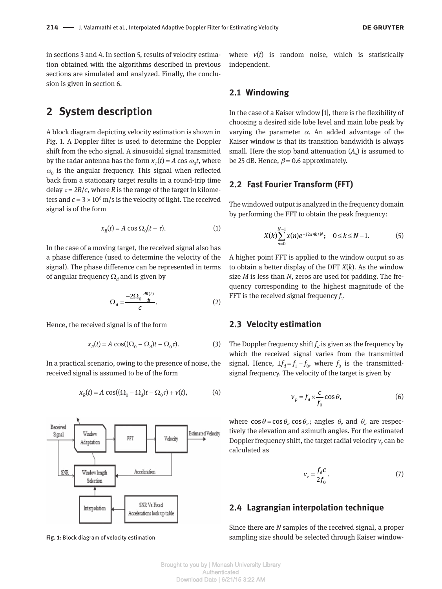in sections 3 and 4. In section 5, results of velocity estimation obtained with the algorithms described in previous sections are simulated and analyzed. Finally, the conclusion is given in section 6.

## **2 System description**

A block diagram depicting velocity estimation is shown in Fig. 1. A Doppler filter is used to determine the Doppler shift from the echo signal. A sinusoidal signal transmitted by the radar antenna has the form  $x_T(t) = A \cos \omega_0 t$ , where  $\omega_0$  is the angular frequency. This signal when reflected back from a stationary target results in a round-trip time delay  $\tau = 2R/c$ , where *R* is the range of the target in kilometers and  $c = 3 \times 10^8$  m/s is the velocity of light. The received signal is of the form

$$
x_R(t) = A \cos \Omega_0(t - \tau). \tag{1}
$$

In the case of a moving target, the received signal also has a phase difference (used to determine the velocity of the signal). The phase difference can be represented in terms of angular frequency  $\Omega_d$  and is given by

$$
\Omega_d = \frac{-2\Omega_0 \frac{dR(t)}{dt}}{c}.
$$
 (2)

Hence, the received signal is of the form

$$
x_R(t) = A \cos((\Omega_0 - \Omega_d)t - \Omega_0 \tau). \tag{3}
$$

In a practical scenario, owing to the presence of noise, the received signal is assumed to be of the form

$$
x_R(t) = A \cos((\Omega_0 - \Omega_d)t - \Omega_0 \tau) + v(t), \tag{4}
$$



where  $v(t)$  is random noise, which is statistically independent.

### **2.1 Windowing**

In the case of a Kaiser window [1], there is the flexibility of choosing a desired side lobe level and main lobe peak by varying the parameter  $\alpha$ . An added advantage of the Kaiser window is that its transition bandwidth is always small. Here the stop band attenuation (*A<sup>s</sup>* ) is assumed to be 25 dB. Hence,  $\beta$  = 0.6 approximately.

#### **2.2 Fast Fourier Transform (FFT)**

The windowed output is analyzed in the frequency domain by performing the FFT to obtain the peak frequency:

$$
X(k)\sum_{n=0}^{N-1} x(n)e^{-j2\pi nk/N}; \quad 0 \le k \le N-1.
$$
 (5)

A higher point FFT is applied to the window output so as to obtain a better display of the DFT *X*(*k*)*.* As the window size *M* is less than *N*, zeros are used for padding. The frequency corresponding to the highest magnitude of the FFT is the received signal frequency  $f_1$ .

#### **2.3 Velocity estimation**

The Doppler frequency shift  $f_d$  is given as the frequency by which the received signal varies from the transmitted signal. Hence,  $\pm f_d = f_1 - f_0$ , where  $f_0$  is the transmittedsignal frequency. The velocity of the target is given by

$$
v_p = f_d \times \frac{c}{f_0} \cos \theta, \tag{6}
$$

where  $\cos \theta = \cos \theta_a \cos \theta_e$ ; angles  $\theta_e$  and  $\theta_a$  are respectively the elevation and azimuth angles. For the estimated Doppler frequency shift, the target radial velocity  $v_r$  can be calculated as

$$
v_r = \frac{f_d c}{2f_0}.\tag{7}
$$

### **2.4 Lagrangian interpolation technique**

Since there are *N* samples of the received signal, a proper Fig. 1: Block diagram of velocity estimation sampling size should be selected through Kaiser window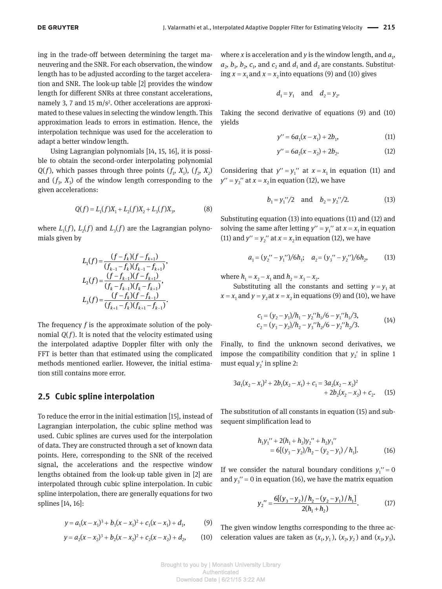ing in the trade-off between determining the target maneuvering and the SNR. For each observation, the window length has to be adjusted according to the target acceleration and SNR. The look-up table [2] provides the window length for different SNRs at three constant accelerations, namely 3, 7 and 15 m/s<sup>2</sup>. Other accelerations are approximated to these values in selecting the window length. This approximation leads to errors in estimation. Hence, the interpolation technique was used for the acceleration to adapt a better window length.

Using Lagrangian polynomials [14, 15, 16], it is possible to obtain the second-order interpolating polynomial *Q*(*f*)*,* which passes through three points  $(f_1, X_1)$ ,  $(f_2, X_2)$ and  $(f_3, X_3)$  of the window length corresponding to the given accelerations:

$$
Q(f) = L_1(f)X_1 + L_2(f)X_2 + L_3(f)X_3,
$$
\n(8)

where  $L_1(f)$ ,  $L_2(f)$  and  $L_3(f)$  are the Lagrangian polynomials given by

$$
L_1(f) = \frac{(f - f_k)(f - f_{k+1})}{(f_{k-1} - f_k)(f_{k-1} - f_{k+1})},
$$
  
\n
$$
L_2(f) = \frac{(f - f_{k-1})(f - f_{k+1})}{(f_k - f_{k-1})(f_k - f_{k+1})},
$$
  
\n
$$
L_3(f) = \frac{(f - f_k)(f - f_{k-1})}{(f_{k+1} - f_k)(f_{k+1} - f_{k-1})}.
$$

The frequency *f* is the approximate solution of the polynomial  $Q(f)$ . It is noted that the velocity estimated using the interpolated adaptive Doppler filter with only the FFT is better than that estimated using the complicated methods mentioned earlier. However, the initial estimation still contains more error.

#### **2.5 Cubic spline interpolation**

To reduce the error in the initial estimation [15], instead of Lagrangian interpolation, the cubic spline method was used. Cubic splines are curves used for the interpolation of data. They are constructed through a set of known data points. Here, corresponding to the SNR of the received signal, the accelerations and the respective window lengths obtained from the look-up table given in [2] are interpolated through cubic spline interpolation. In cubic spline interpolation, there are generally equations for two splines [14, 16]:

$$
y = a_1(x - x_1)^3 + b_1(x - x_1)^2 + c_1(x - x_1) + d_1,
$$
 (9)

$$
y = a_2(x - x_2)^3 + b_2(x - x_2)^2 + c_2(x - x_2) + d_2,
$$
 (10)

where *x* is acceleration and *y* is the window length, and  $a_1$ ,  $a_2$ ,  $b_1$ ,  $b_2$ ,  $c_1$ , and  $c_2$  and  $d_1$  and  $d_2$  are constants. Substituting  $x = x_1$  and  $x = x_2$  into equations (9) and (10) gives

$$
d_1 = y_1 \quad \text{and} \quad d_2 = y_2.
$$

Taking the second derivative of equations (9) and (10) yields

$$
y'' = 6a_1(x - x_1) + 2b_1,
$$
 (11)

$$
y'' = 6a_2(x - x_2) + 2b_2.
$$
 (12)

Considering that  $y'' = y_1''$  at  $x = x_1$  in equation (11) and  $y'' = y_2''$  at  $x = x_2$  in equation (12), we have

$$
b_1 = y_1''/2
$$
 and  $b_2 = y_2''/2$ . (13)

Substituting equation (13) into equations (11) and (12) and solving the same after letting  $y'' = y_1''$  at  $x = x_1$  in equation (11) and  $y'' = y_2''$  at  $x = x_2$  in equation (12), we have

$$
a_1 = (y_2'' - y_1'')/6h_1; \quad a_2 = (y_3'' - y_2'')/6h_2,\tag{13}
$$

where  $h_1 = x_2 - x_1$  and  $h_2 = x_3 - x_2$ .

Substituting all the constants and setting  $y = y_1$  at  $x = x_1$  and  $y = y_2$  at  $x = x_2$  in equations (9) and (10), we have

$$
c_1 = (y_2 - y_1)/h_1 - y_2''h_1/6 - y_1''h_1/3,
$$
  
\n
$$
c_2 = (y_3 - y_2)/h_2 - y_3''h_2/6 - y_2''h_2/3.
$$
\n(14)

Finally, to find the unknown second derivatives, we impose the compatibility condition that  $y_2$ <sup>'</sup> in spline 1 must equal  $y_2$ ' in spline 2:

$$
3a_1(x_2 - x_1)^2 + 2b_1(x_2 - x_1) + c_1 = 3a_2(x_2 - x_2)^2
$$
  
+ 2b\_2(x\_2 - x\_2) + c\_2. (15)

The substitution of all constants in equation (15) and subsequent simplification lead to

$$
h_1 y_1'' + 2(h_1 + h_2) y_2'' + h_2 y_3''
$$
  
= 6[(y<sub>3</sub> - y<sub>2</sub>)/h<sub>2</sub> - (y<sub>2</sub> - y<sub>1</sub>)/h<sub>1</sub>]. (16)

If we consider the natural boundary conditions  $y_1'' = 0$ and  $y_3'' = 0$  in equation (16), we have the matrix equation

$$
y_2'' = \frac{6[(y_3 - y_2)/h_2 - (y_2 - y_1)/h_1]}{2(h_1 + h_2)}.
$$
 (17)

The given window lengths corresponding to the three acceleration values are taken as  $(x_1, y_1)$ ,  $(x_2, y_2)$  and  $(x_3, y_3)$ ,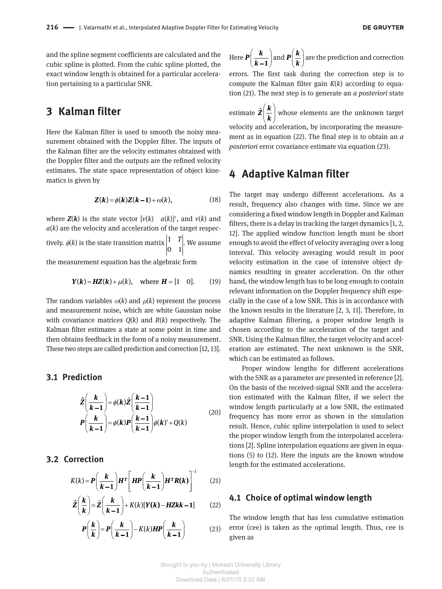and the spline segment coefficients are calculated and the cubic spline is plotted. From the cubic spline plotted, the exact window length is obtained for a particular acceleration pertaining to a particular SNR.

# **3 Kalman filter**

Here the Kalman filter is used to smooth the noisy measurement obtained with the Doppler filter. The inputs of the Kalman filter are the velocity estimates obtained with the Doppler filter and the outputs are the refined velocity estimates. The state space representation of object kinematics is given by

$$
Z(k) = \phi(k)Z(k-1) + \omega(k), \qquad (18)
$$

where  $Z(k)$  is the state vector  $[v(k) \quad a(k)]'$ , and  $v(k)$  and  $a(k)$  are the velocity and acceleration of the target respectively.  $\phi(k)$  is the state transition matrix  $\left| \begin{matrix} 1 \end{matrix} \right.$ 0 1 *T* . We assume

the measurement equation has the algebraic form

$$
Y(k) = HZ(k) + \mu(k)
$$
, where  $H = [1 \ 0]$ . (19)

The random variables  $\omega(k)$  and  $\mu(k)$  represent the process and measurement noise, which are white Gaussian noise with covariance matrices *Q*(*k*) and *R*(*k*) respectively. The Kalman filter estimates a state at some point in time and then obtains feedback in the form of a noisy measurement. These two steps are called prediction and correction [12, 13].

### **3.1 Prediction**

$$
\hat{Z}\left(\frac{k}{k-1}\right) = \phi(k)\hat{Z}\left(\frac{k-1}{k-1}\right)
$$
\n
$$
P\left(\frac{k}{k-1}\right) = \phi(k)P\left(\frac{k-1}{k-1}\right)\phi(k) + Q(k)
$$
\n(20)

### **3.2 Correction**

$$
K(k) = P\left(\frac{k}{k-1}\right)H^T\left[HP\left(\frac{k}{k-1}\right)H^TR(k)\right]^{-1}
$$
 (21)

$$
\hat{Z}\left(\frac{k}{k}\right) = \hat{Z}\left(\frac{k}{k-1}\right) + K(k)[Y(k) - HZkk - 1] \tag{22}
$$

$$
P\left(\frac{k}{k}\right) = P\left(\frac{k}{k-1}\right) - K(k)HP\left(\frac{k}{k-1}\right) \tag{23}
$$

Here 
$$
\mathbf{P}\left(\frac{\mathbf{k}}{\mathbf{k}-\mathbf{1}}\right)
$$
 and  $\mathbf{P}\left(\frac{\mathbf{k}}{\mathbf{k}}\right)$  are the prediction and correction

errors. The first task during the correction step is to compute the Kalman filter gain *K*(*k*) according to equation (21). The next step is to generate an *a posteriori* state

estimate  $\hat{\mathbf{Z}}\left(\frac{\mathbf{k}}{\mathbf{k}}\right)$  whose elements are the unknown target velocity and acceleration, by incorporating the measurement as in equation (22). The final step is to obtain an *a posteriori* error covariance estimate via equation (23).

# **4 Adaptive Kalman filter**

The target may undergo different accelerations. As a result, frequency also changes with time. Since we are considering a fixed window length in Doppler and Kalman filters, there is a delay in tracking the target dynamics [1, 2, 12]. The applied window function length must be short enough to avoid the effect of velocity averaging over a long interval. This velocity averaging would result in poor velocity estimation in the case of intensive object dynamics resulting in greater acceleration. On the other hand, the window length has to be long enough to contain relevant information on the Doppler frequency shift especially in the case of a low SNR. This is in accordance with the known results in the literature [2, 3, 11]. Therefore, in adaptive Kalman filtering, a proper window length is chosen according to the acceleration of the target and SNR. Using the Kalman filter, the target velocity and acceleration are estimated. The next unknown is the SNR, which can be estimated as follows.

Proper window lengths for different accelerations with the SNR as a parameter are presented in reference [2]. On the basis of the received-signal SNR and the acceleration estimated with the Kalman filter, if we select the window length particularly at a low SNR, the estimated frequency has more error as shown in the simulation result. Hence, cubic spline interpolation is used to select the proper window length from the interpolated accelerations [2]. Spline interpolation equations are given in equations (5) to (12). Here the inputs are the known window length for the estimated accelerations.

#### **4.1 Choice of optimal window length**

The window length that has less cumulative estimation error (cee) is taken as the optimal length. Thus, cee is given as

Brought to you by | Monash University Library Authenticated Download Date | 6/21/15 3:22 AM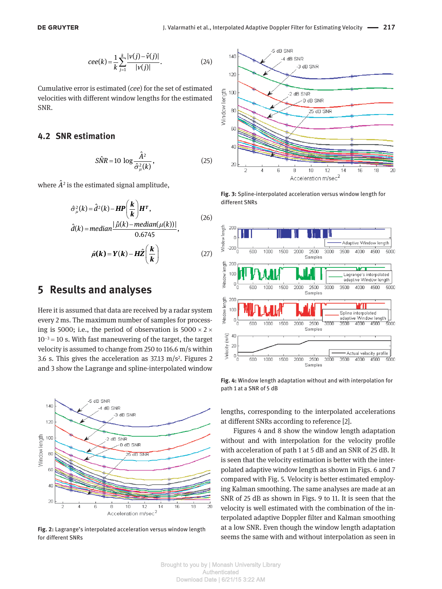$$
cee(k) = \frac{1}{k} \sum_{j=1}^{k} \frac{|v(j) - \hat{v}(j)|}{|v(j)|}.
$$
 (24)

Cumulative error is estimated (*cee*) for the set of estimated velocities with different window lengths for the estimated SNR.

#### **4.2 SNR estimation**

$$
\hat{SNR} = 10 \log \frac{\hat{A}^2}{\hat{\sigma}_{\mu}^2(k)},
$$
\n(25)

where  $\hat{A}^2$  is the estimated signal amplitude,

$$
\hat{\sigma}_{\mu}^{2}(k) = \hat{d}^{2}(k) - HP\left(\frac{k}{k}\right)H^{T},
$$
\n
$$
\hat{d}(k) = median\frac{|\hat{\mu}(k) - median(\mu(k))|}{0.6745},
$$
\n
$$
\hat{\mu}(k) = Y(k) - H\hat{Z}\left(\frac{k}{k}\right)
$$
\n(27)

### **5 Results and analyses**

Here it is assumed that data are received by a radar system every 2 ms. The maximum number of samples for processing is 5000; i.e., the period of observation is  $5000 \times 2 \times$  $10^{-3}$  = 10 s. With fast maneuvering of the target, the target velocity is assumed to change from 250 to 116.6 m/s within 3.6 s. This gives the acceleration as  $37.13 \text{ m/s}^2$ . Figures 2 and 3 show the Lagrange and spline-interpolated window



**Fig. 2:** Lagrange's interpolated acceleration versus window length for different SNRs



**Fig. 3:** Spline-interpolated acceleration versus window length for different SNRs



**Fig. 4:** Window length adaptation without and with interpolation for path 1 at a SNR of 5 dB

lengths, corresponding to the interpolated accelerations at different SNRs according to reference [2].

Figures 4 and 8 show the window length adaptation without and with interpolation for the velocity profile with acceleration of path 1 at 5 dB and an SNR of 25 dB. It is seen that the velocity estimation is better with the interpolated adaptive window length as shown in Figs. 6 and 7 compared with Fig. 5. Velocity is better estimated employing Kalman smoothing. The same analyses are made at an SNR of 25 dB as shown in Figs. 9 to 11. It is seen that the velocity is well estimated with the combination of the interpolated adaptive Doppler filter and Kalman smoothing at a low SNR. Even though the window length adaptation seems the same with and without interpolation as seen in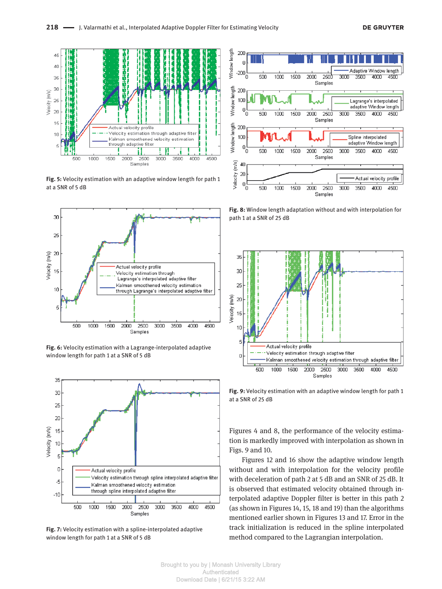

**Fig. 5:** Velocity estimation with an adaptive window length for path 1 at a SNR of 5 dB



**Fig. 6:** Velocity estimation with a Lagrange-interpolated adaptive window length for path 1 at a SNR of 5 dB



**Fig. 7:** Velocity estimation with a spline-interpolated adaptive window length for path 1 at a SNR of 5 dB



**Fig. 8:** Window length adaptation without and with interpolation for path 1 at a SNR of 25 dB



**Fig. 9:** Velocity estimation with an adaptive window length for path 1 at a SNR of 25 dB

Figures 4 and 8, the performance of the velocity estimation is markedly improved with interpolation as shown in Figs. 9 and 10.

Figures 12 and 16 show the adaptive window length without and with interpolation for the velocity profile with deceleration of path 2 at 5 dB and an SNR of 25 dB. It is observed that estimated velocity obtained through interpolated adaptive Doppler filter is better in this path 2 (as shown in Figures 14, 15, 18 and 19) than the algorithms mentioned earlier shown in Figures 13 and 17. Error in the track initialization is reduced in the spline interpolated method compared to the Lagrangian interpolation.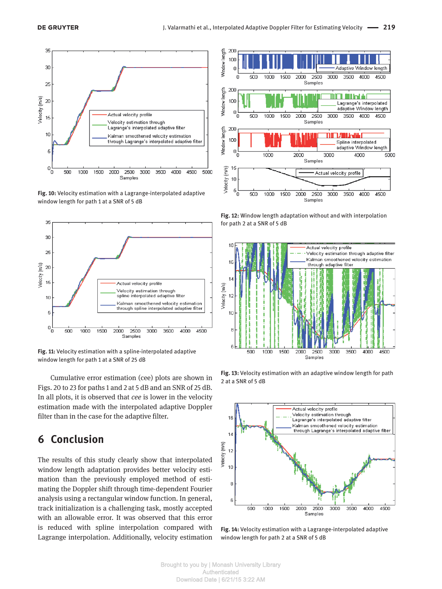

**Fig. 10:** Velocity estimation with a Lagrange-interpolated adaptive window length for path 1 at a SNR of 5 dB



**Fig. 11:** Velocity estimation with a spline-interpolated adaptive window length for path 1 at a SNR of 25 dB

Cumulative error estimation (cee) plots are shown in Figs. 20 to 23 for paths 1 and 2 at 5 dB and an SNR of 25 dB. In all plots, it is observed that *cee* is lower in the velocity estimation made with the interpolated adaptive Doppler filter than in the case for the adaptive filter.

# **6 Conclusion**

The results of this study clearly show that interpolated window length adaptation provides better velocity estimation than the previously employed method of estimating the Doppler shift through time-dependent Fourier analysis using a rectangular window function. In general, track initialization is a challenging task, mostly accepted with an allowable error. It was observed that this error is reduced with spline interpolation compared with Lagrange interpolation. Additionally, velocity estimation



**Fig. 12:** Window length adaptation without and with interpolation for path 2 at a SNR of 5 dB



**Fig. 13:** Velocity estimation with an adaptive window length for path 2 at a SNR of 5 dB



**Fig. 14:** Velocity estimation with a Lagrange-interpolated adaptive window length for path 2 at a SNR of 5 dB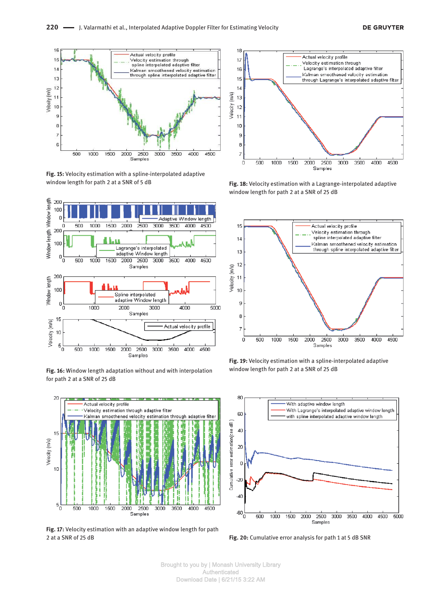

**Fig. 15:** Velocity estimation with a spline-interpolated adaptive window length for path 2 at a SNR of 5 dB



**Fig. 16:** Window length adaptation without and with interpolation for path 2 at a SNR of 25 dB



**Fig. 17:** Velocity estimation with an adaptive window length for path 2 at a SNR of 25 dB



**Fig. 18:** Velocity estimation with a Lagrange-interpolated adaptive window length for path 2 at a SNR of 25 dB



**Fig. 19:** Velocity estimation with a spline-interpolated adaptive window length for path 2 at a SNR of 25 dB



**Fig. 20:** Cumulative error analysis for path 1 at 5 dB SNR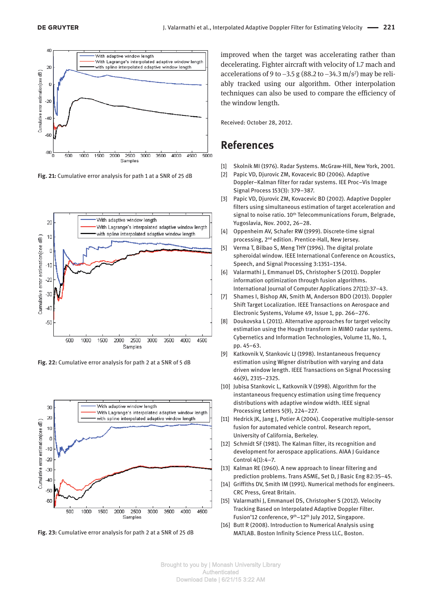

**Fig. 21:** Cumulative error analysis for path 1 at a SNR of 25 dB



**Fig. 22:** Cumulative error analysis for path 2 at a SNR of 5 dB



**Fig. 23:** Cumulative error analysis for path 2 at a SNR of 25 dB

 improved when the target was accelerating rather than decelerating. Fighter aircraft with velocity of 1.7 mach and accelerations of 9 to  $-3.5$  g (88.2 to  $-34.3$  m/s<sup>2</sup>) may be reliably tracked using our algorithm. Other interpolation techniques can also be used to compare the efficiency of the window length.

Received: October 28, 2012.

### **References**

- [1] Skolnik MI (1976). Radar Systems. McGraw-Hill, New York, 2001.
- [2] Papic VD, Djurovic ZM, Kovacevic BD (2006). Adaptive Doppler–Kalman filter for radar systems. IEE Proc–Vis Image Signal Process 153(3): 379–387.
- [3] Papic VD, Djurovic ZM, Kovacevic BD (2002). Adaptive Doppler filters using simultaneous estimation of target acceleration and signal to noise ratio. 10<sup>th</sup> Telecommunications Forum, Belgrade, Yugoslavia, Nov. 2002, 26–28.
- [4] Oppenheim AV, Schafer RW (1999). Discrete-time signal processing, 2nd edition. Prentice-Hall, New Jersey.
- [5] Verma T, Bilbao S, Meng THY (1996). The digital prolate spheroidal window. IEEE International Conference on Acoustics, Speech, and Signal Processing 3:1351–1354.
- [6] Valarmathi J, Emmanuel DS, Christopher S (2011). Doppler information optimization through fusion algorithms. International Journal of Computer Applications 27(11):37–43.
- [7] Shames I, Bishop AN, Smith M, Anderson BDO (2013). Doppler Shift Target Localization. IEEE Transactions on Aerospace and Electronic Systems, Volume 49, Issue 1, pp. 266–276.
- [8] Doukovska L (2011). Alternative approaches for target velocity estimation using the Hough transform in MIMO radar systems. Cybernetics and Information Technologies, Volume 11, No. 1, pp. 45–63.
- [9] Katkovnik V, Stankovic LJ (1998). Instantaneous frequency estimation using Wigner distribution with varying and data driven window length. IEEE Transactions on Signal Processing 46(9), 2315–2325.
- [10] Jubisa Stankovic L, Katkovnik V (1998). Algorithm for the instantaneous frequency estimation using time frequency distributions with adaptive window width. IEEE signal Processing Letters 5(9), 224–227.
- [11] Hedrick JK, Jang J, Potier A (2004). Cooperative multiple-sensor fusion for automated vehicle control. Research report, University of California, Berkeley.
- [12] Schmidt SF (1981). The Kalman filter, its recognition and development for aerospace applications. AIAA J Guidance Control 4(1):4–7.
- [13] Kalman RE (1960). A new approach to linear filtering and prediction problems. Trans ASME, Set D, J Basic Eng 82:35–45.
- [14] Griffiths DV, Smith IM (1991). Numerical methods for engineers. CRC Press, Great Britain.
- [15] Valarmathi J, Emmanuel DS, Christopher S (2012). Velocity Tracking Based on Interpolated Adaptive Doppler Filter. Fusion'12 conference, 9<sup>th</sup>-12<sup>th</sup> July 2012, Singapore.
- [16] Butt R (2008). Introduction to Numerical Analysis using MATLAB. Boston Infinity Science Press LLC, Boston.